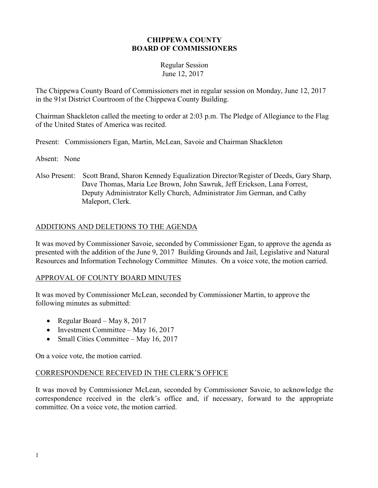#### **CHIPPEWA COUNTY BOARD OF COMMISSIONERS**

#### Regular Session June 12, 2017

The Chippewa County Board of Commissioners met in regular session on Monday, June 12, 2017 in the 91st District Courtroom of the Chippewa County Building.

Chairman Shackleton called the meeting to order at 2:03 p.m. The Pledge of Allegiance to the Flag of the United States of America was recited.

Present: Commissioners Egan, Martin, McLean, Savoie and Chairman Shackleton

Absent: None

Also Present: Scott Brand, Sharon Kennedy Equalization Director/Register of Deeds, Gary Sharp, Dave Thomas, Maria Lee Brown, John Sawruk, Jeff Erickson, Lana Forrest, Deputy Administrator Kelly Church, Administrator Jim German, and Cathy Maleport, Clerk.

## ADDITIONS AND DELETIONS TO THE AGENDA

It was moved by Commissioner Savoie, seconded by Commissioner Egan, to approve the agenda as presented with the addition of the June 9, 2017 Building Grounds and Jail, Legislative and Natural Resources and Information Technology Committee Minutes. On a voice vote, the motion carried.

## APPROVAL OF COUNTY BOARD MINUTES

It was moved by Commissioner McLean, seconded by Commissioner Martin, to approve the following minutes as submitted:

- Regular Board May 8, 2017
- Investment Committee May 16, 2017
- Small Cities Committee May 16, 2017

On a voice vote, the motion carried.

## CORRESPONDENCE RECEIVED IN THE CLERK'S OFFICE

It was moved by Commissioner McLean, seconded by Commissioner Savoie, to acknowledge the correspondence received in the clerk's office and, if necessary, forward to the appropriate committee. On a voice vote, the motion carried.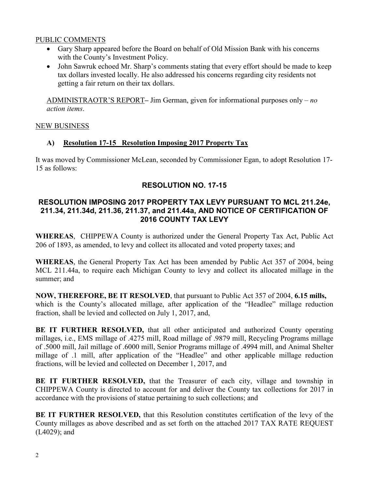#### PUBLIC COMMENTS

- Gary Sharp appeared before the Board on behalf of Old Mission Bank with his concerns with the County's Investment Policy.
- John Sawruk echoed Mr. Sharp's comments stating that every effort should be made to keep tax dollars invested locally. He also addressed his concerns regarding city residents not getting a fair return on their tax dollars.

ADMINISTRAOTR'S REPORT**–** Jim German, given for informational purposes only – *no action items*.

## NEW BUSINESS

## **A) Resolution 17-15 Resolution Imposing 2017 Property Tax**

It was moved by Commissioner McLean, seconded by Commissioner Egan, to adopt Resolution 17- 15 as follows:

## **RESOLUTION NO. 17-15**

## **RESOLUTION IMPOSING 2017 PROPERTY TAX LEVY PURSUANT TO MCL 211.24e, 211.34, 211.34d, 211.36, 211.37, and 211.44a, AND NOTICE OF CERTIFICATION OF 2016 COUNTY TAX LEVY**

**WHEREAS**, CHIPPEWA County is authorized under the General Property Tax Act, Public Act 206 of 1893, as amended, to levy and collect its allocated and voted property taxes; and

**WHEREAS**, the General Property Tax Act has been amended by Public Act 357 of 2004, being MCL 211.44a, to require each Michigan County to levy and collect its allocated millage in the summer; and

**NOW, THEREFORE, BE IT RESOLVED**, that pursuant to Public Act 357 of 2004, **6.15 mills,**  which is the County's allocated millage, after application of the "Headlee" millage reduction fraction, shall be levied and collected on July 1, 2017, and,

**BE IT FURTHER RESOLVED,** that all other anticipated and authorized County operating millages, i.e., EMS millage of .4275 mill, Road millage of .9879 mill, Recycling Programs millage of .5000 mill, Jail millage of .6000 mill, Senior Programs millage of .4994 mill, and Animal Shelter millage of .1 mill, after application of the "Headlee" and other applicable millage reduction fractions, will be levied and collected on December 1, 2017, and

**BE IT FURTHER RESOLVED,** that the Treasurer of each city, village and township in CHIPPEWA County is directed to account for and deliver the County tax collections for 2017 in accordance with the provisions of statue pertaining to such collections; and

**BE IT FURTHER RESOLVED,** that this Resolution constitutes certification of the levy of the County millages as above described and as set forth on the attached 2017 TAX RATE REQUEST (L4029); and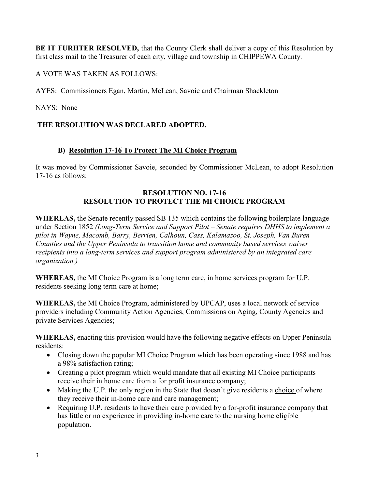**BE IT FURHTER RESOLVED,** that the County Clerk shall deliver a copy of this Resolution by first class mail to the Treasurer of each city, village and township in CHIPPEWA County.

A VOTE WAS TAKEN AS FOLLOWS:

AYES: Commissioners Egan, Martin, McLean, Savoie and Chairman Shackleton

NAYS: None

## **THE RESOLUTION WAS DECLARED ADOPTED.**

## **B) Resolution 17-16 To Protect The MI Choice Program**

It was moved by Commissioner Savoie, seconded by Commissioner McLean, to adopt Resolution 17-16 as follows:

### **RESOLUTION NO. 17-16 RESOLUTION TO PROTECT THE MI CHOICE PROGRAM**

**WHEREAS,** the Senate recently passed SB 135 which contains the following boilerplate language under Section 1852 *(Long-Term Service and Support Pilot – Senate requires DHHS to implement a pilot in Wayne, Macomb, Barry, Berrien, Calhoun, Cass, Kalamazoo, St. Joseph, Van Buren Counties and the Upper Peninsula to transition home and community based services waiver recipients into a long-term services and support program administered by an integrated care organization.)* 

**WHEREAS,** the MI Choice Program is a long term care, in home services program for U.P. residents seeking long term care at home;

**WHEREAS,** the MI Choice Program, administered by UPCAP, uses a local network of service providers including Community Action Agencies, Commissions on Aging, County Agencies and private Services Agencies;

**WHEREAS,** enacting this provision would have the following negative effects on Upper Peninsula residents:

- Closing down the popular MI Choice Program which has been operating since 1988 and has a 98% satisfaction rating;
- Creating a pilot program which would mandate that all existing MI Choice participants receive their in home care from a for profit insurance company;
- Making the U.P. the only region in the State that doesn't give residents a choice of where they receive their in-home care and care management;
- Requiring U.P. residents to have their care provided by a for-profit insurance company that has little or no experience in providing in-home care to the nursing home eligible population.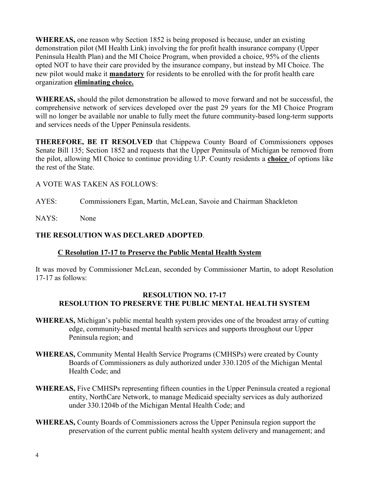**WHEREAS,** one reason why Section 1852 is being proposed is because, under an existing demonstration pilot (MI Health Link) involving the for profit health insurance company (Upper Peninsula Health Plan) and the MI Choice Program, when provided a choice, 95% of the clients opted NOT to have their care provided by the insurance company, but instead by MI Choice. The new pilot would make it **mandatory** for residents to be enrolled with the for profit health care organization **eliminating choice.**

**WHEREAS,** should the pilot demonstration be allowed to move forward and not be successful, the comprehensive network of services developed over the past 29 years for the MI Choice Program will no longer be available nor unable to fully meet the future community-based long-term supports and services needs of the Upper Peninsula residents.

**THEREFORE, BE IT RESOLVED** that Chippewa County Board of Commissioners opposes Senate Bill 135; Section 1852 and requests that the Upper Peninsula of Michigan be removed from the pilot, allowing MI Choice to continue providing U.P. County residents a **choice** of options like the rest of the State.

## A VOTE WAS TAKEN AS FOLLOWS:

- AYES: Commissioners Egan, Martin, McLean, Savoie and Chairman Shackleton
- NAYS: None

## **THE RESOLUTION WAS DECLARED ADOPTED**.

## **C Resolution 17-17 to Preserve the Public Mental Health System**

It was moved by Commissioner McLean, seconded by Commissioner Martin, to adopt Resolution 17-17 as follows:

#### **RESOLUTION NO. 17-17 RESOLUTION TO PRESERVE THE PUBLIC MENTAL HEALTH SYSTEM**

- **WHEREAS,** Michigan's public mental health system provides one of the broadest array of cutting edge, community-based mental health services and supports throughout our Upper Peninsula region; and
- **WHEREAS,** Community Mental Health Service Programs (CMHSPs) were created by County Boards of Commissioners as duly authorized under 330.1205 of the Michigan Mental Health Code; and
- **WHEREAS,** Five CMHSPs representing fifteen counties in the Upper Peninsula created a regional entity, NorthCare Network, to manage Medicaid specialty services as duly authorized under 330.1204b of the Michigan Mental Health Code; and
- **WHEREAS,** County Boards of Commissioners across the Upper Peninsula region support the preservation of the current public mental health system delivery and management; and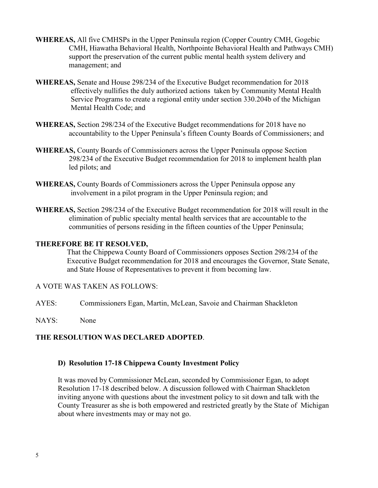- **WHEREAS,** All five CMHSPs in the Upper Peninsula region (Copper Country CMH, Gogebic CMH, Hiawatha Behavioral Health, Northpointe Behavioral Health and Pathways CMH) support the preservation of the current public mental health system delivery and management; and
- **WHEREAS,** Senate and House 298/234 of the Executive Budget recommendation for 2018 effectively nullifies the duly authorized actions taken by Community Mental Health Service Programs to create a regional entity under section 330.204b of the Michigan Mental Health Code; and
- **WHEREAS,** Section 298/234 of the Executive Budget recommendations for 2018 have no accountability to the Upper Peninsula's fifteen County Boards of Commissioners; and
- **WHEREAS,** County Boards of Commissioners across the Upper Peninsula oppose Section 298/234 of the Executive Budget recommendation for 2018 to implement health plan led pilots; and
- **WHEREAS,** County Boards of Commissioners across the Upper Peninsula oppose any involvement in a pilot program in the Upper Peninsula region; and
- **WHEREAS,** Section 298/234 of the Executive Budget recommendation for 2018 will result in the elimination of public specialty mental health services that are accountable to the communities of persons residing in the fifteen counties of the Upper Peninsula;

#### **THEREFORE BE IT RESOLVED,**

That the Chippewa County Board of Commissioners opposes Section 298/234 of the Executive Budget recommendation for 2018 and encourages the Governor, State Senate, and State House of Representatives to prevent it from becoming law.

#### A VOTE WAS TAKEN AS FOLLOWS:

- AYES: Commissioners Egan, Martin, McLean, Savoie and Chairman Shackleton
- NAYS: None

#### **THE RESOLUTION WAS DECLARED ADOPTED**.

#### **D) Resolution 17-18 Chippewa County Investment Policy**

It was moved by Commissioner McLean, seconded by Commissioner Egan, to adopt Resolution 17-18 described below. A discussion followed with Chairman Shackleton inviting anyone with questions about the investment policy to sit down and talk with the County Treasurer as she is both empowered and restricted greatly by the State of Michigan about where investments may or may not go.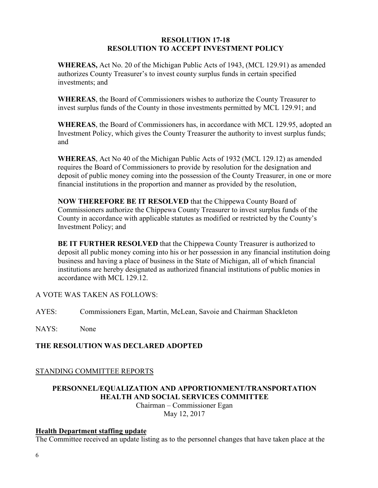#### **RESOLUTION 17-18 RESOLUTION TO ACCEPT INVESTMENT POLICY**

**WHEREAS,** Act No. 20 of the Michigan Public Acts of 1943, (MCL 129.91) as amended authorizes County Treasurer's to invest county surplus funds in certain specified investments; and

**WHEREAS**, the Board of Commissioners wishes to authorize the County Treasurer to invest surplus funds of the County in those investments permitted by MCL 129.91; and

**WHEREAS**, the Board of Commissioners has, in accordance with MCL 129.95, adopted an Investment Policy, which gives the County Treasurer the authority to invest surplus funds; and

**WHEREAS**, Act No 40 of the Michigan Public Acts of 1932 (MCL 129.12) as amended requires the Board of Commissioners to provide by resolution for the designation and deposit of public money coming into the possession of the County Treasurer, in one or more financial institutions in the proportion and manner as provided by the resolution,

**NOW THEREFORE BE IT RESOLVED** that the Chippewa County Board of Commissioners authorize the Chippewa County Treasurer to invest surplus funds of the County in accordance with applicable statutes as modified or restricted by the County's Investment Policy; and

**BE IT FURTHER RESOLVED** that the Chippewa County Treasurer is authorized to deposit all public money coming into his or her possession in any financial institution doing business and having a place of business in the State of Michigan, all of which financial institutions are hereby designated as authorized financial institutions of public monies in accordance with MCL 129.12.

## A VOTE WAS TAKEN AS FOLLOWS:

AYES: Commissioners Egan, Martin, McLean, Savoie and Chairman Shackleton

NAYS: None

## **THE RESOLUTION WAS DECLARED ADOPTED**

## STANDING COMMITTEE REPORTS

# **PERSONNEL/EQUALIZATION AND APPORTIONMENT/TRANSPORTATION HEALTH AND SOCIAL SERVICES COMMITTEE**

Chairman – Commissioner Egan May 12, 2017

## **Health Department staffing update**

The Committee received an update listing as to the personnel changes that have taken place at the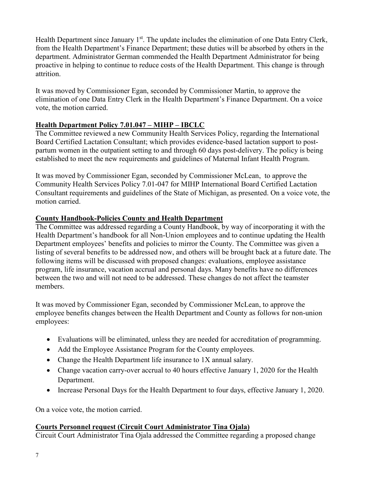Health Department since January 1<sup>st</sup>. The update includes the elimination of one Data Entry Clerk, from the Health Department's Finance Department; these duties will be absorbed by others in the department. Administrator German commended the Health Department Administrator for being proactive in helping to continue to reduce costs of the Health Department. This change is through attrition.

It was moved by Commissioner Egan, seconded by Commissioner Martin, to approve the elimination of one Data Entry Clerk in the Health Department's Finance Department. On a voice vote, the motion carried.

## **Health Department Policy 7.01.047 – MIHP – IBCLC**

The Committee reviewed a new Community Health Services Policy, regarding the International Board Certified Lactation Consultant; which provides evidence-based lactation support to postpartum women in the outpatient setting to and through 60 days post-delivery. The policy is being established to meet the new requirements and guidelines of Maternal Infant Health Program.

It was moved by Commissioner Egan, seconded by Commissioner McLean, to approve the Community Health Services Policy 7.01-047 for MIHP International Board Certified Lactation Consultant requirements and guidelines of the State of Michigan, as presented. On a voice vote, the motion carried.

## **County Handbook-Policies County and Health Department**

The Committee was addressed regarding a County Handbook, by way of incorporating it with the Health Department's handbook for all Non-Union employees and to continue updating the Health Department employees' benefits and policies to mirror the County. The Committee was given a listing of several benefits to be addressed now, and others will be brought back at a future date. The following items will be discussed with proposed changes: evaluations, employee assistance program, life insurance, vacation accrual and personal days. Many benefits have no differences between the two and will not need to be addressed. These changes do not affect the teamster members.

It was moved by Commissioner Egan, seconded by Commissioner McLean, to approve the employee benefits changes between the Health Department and County as follows for non-union employees:

- Evaluations will be eliminated, unless they are needed for accreditation of programming.
- Add the Employee Assistance Program for the County employees.
- Change the Health Department life insurance to 1X annual salary.
- Change vacation carry-over accrual to 40 hours effective January 1, 2020 for the Health Department.
- Increase Personal Days for the Health Department to four days, effective January 1, 2020.

On a voice vote, the motion carried.

## **Courts Personnel request (Circuit Court Administrator Tina Ojala)**

Circuit Court Administrator Tina Ojala addressed the Committee regarding a proposed change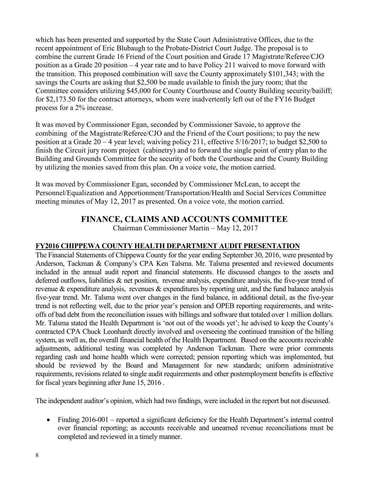which has been presented and supported by the State Court Administrative Offices, due to the recent appointment of Eric Blubaugh to the Probate-District Court Judge. The proposal is to combine the current Grade 16 Friend of the Court position and Grade 17 Magistrate/Referee/CJO position as a Grade 20 position – 4 year rate and to have Policy 211 waived to move forward with the transition. This proposed combination will save the County approximately \$101,343; with the savings the Courts are asking that \$2,500 be made available to finish the jury room; that the Committee considers utilizing \$45,000 for County Courthouse and County Building security/bailiff; for \$2,173.50 for the contract attorneys, whom were inadvertently left out of the FY16 Budget process for a 2% increase.

It was moved by Commissioner Egan, seconded by Commissioner Savoie, to approve the combining of the Magistrate/Referee/CJO and the Friend of the Court positions; to pay the new position at a Grade 20 – 4 year level; waiving policy 211, effective 5/16/2017; to budget \$2,500 to finish the Circuit jury room project (cabinetry) and to forward the single point of entry plan to the Building and Grounds Committee for the security of both the Courthouse and the County Building by utilizing the monies saved from this plan. On a voice vote, the motion carried.

It was moved by Commissioner Egan, seconded by Commissioner McLean, to accept the Personnel/Equalization and Apportionment/Transportation/Health and Social Services Committee meeting minutes of May 12, 2017 as presented. On a voice vote, the motion carried.

## **FINANCE, CLAIMS AND ACCOUNTS COMMITTEE**

Chairman Commissioner Martin – May 12, 2017

## **FY2016 CHIPPEWA COUNTY HEALTH DEPARTMENT AUDIT PRESENTATION**

The Financial Statements of Chippewa County for the year ending September 30, 2016, were presented by Anderson, Tackman & Company's CPA Ken Talsma. Mr. Talsma presented and reviewed documents included in the annual audit report and financial statements. He discussed changes to the assets and deferred outflows, liabilities  $\&$  net position, revenue analysis, expenditure analysis, the five-year trend of revenue & expenditure analysis, revenues & expenditures by reporting unit, and the fund balance analysis five-year trend. Mr. Talsma went over changes in the fund balance, in additional detail, as the five-year trend is not reflecting well, due to the prior year's pension and OPEB reporting requirements, and writeoffs of bad debt from the reconciliation issues with billings and software that totaled over 1 million dollars. Mr. Talsma stated the Health Department is 'not out of the woods yet'; he advised to keep the County's contracted CPA Chuck Leonhardt directly involved and overseeing the continued transition of the billing system, as well as, the overall financial health of the Health Department. Based on the accounts receivable adjustments, additional testing was completed by Anderson Tackman. There were prior comments regarding cash and home health which were corrected; pension reporting which was implemented, but should be reviewed by the Board and Management for new standards; uniform administrative requirements, revisions related to single audit requirements and other postemployment benefits is effective for fiscal years beginning after June 15, 2016 .

The independent auditor's opinion, which had two findings, were included in the report but not discussed.

• Finding 2016-001 – reported a significant deficiency for the Health Department's internal control over financial reporting; as accounts receivable and unearned revenue reconciliations must be completed and reviewed in a timely manner.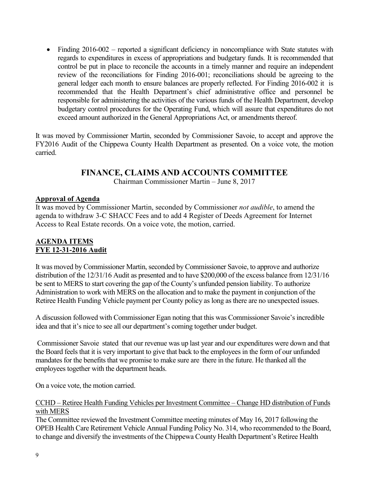• Finding 2016-002 – reported a significant deficiency in noncompliance with State statutes with regards to expenditures in excess of appropriations and budgetary funds. It is recommended that control be put in place to reconcile the accounts in a timely manner and require an independent review of the reconciliations for Finding 2016-001; reconciliations should be agreeing to the general ledger each month to ensure balances are properly reflected. For Finding 2016-002 it is recommended that the Health Department's chief administrative office and personnel be responsible for administering the activities of the various funds of the Health Department, develop budgetary control procedures for the Operating Fund, which will assure that expenditures do not exceed amount authorized in the General Appropriations Act, or amendments thereof.

It was moved by Commissioner Martin, seconded by Commissioner Savoie, to accept and approve the FY2016 Audit of the Chippewa County Health Department as presented. On a voice vote, the motion carried.

# **FINANCE, CLAIMS AND ACCOUNTS COMMITTEE**

Chairman Commissioner Martin – June 8, 2017

## **Approval of Agenda**

It was moved by Commissioner Martin, seconded by Commissioner *not audible*, to amend the agenda to withdraw 3-C SHACC Fees and to add 4 Register of Deeds Agreement for Internet Access to Real Estate records. On a voice vote, the motion, carried.

## **AGENDA ITEMS FYE 12-31-2016 Audit**

It was moved by Commissioner Martin, seconded by Commissioner Savoie, to approve and authorize distribution of the 12/31/16 Audit as presented and to have \$200,000 of the excess balance from 12/31/16 be sent to MERS to start covering the gap of the County's unfunded pension liability. To authorize Administration to work with MERS on the allocation and to make the payment in conjunction of the Retiree Health Funding Vehicle payment per County policy as long as there are no unexpected issues.

A discussion followed with Commissioner Egan noting that this was Commissioner Savoie's incredible idea and that it's nice to see all our department's coming together under budget.

 Commissioner Savoie stated that our revenue was up last year and our expenditures were down and that the Board feels that it is very important to give that back to the employees in the form of our unfunded mandates for the benefits that we promise to make sure are there in the future. He thanked all the employees together with the department heads.

On a voice vote, the motion carried.

#### CCHD – Retiree Health Funding Vehicles per Investment Committee – Change HD distribution of Funds with MERS

The Committee reviewed the Investment Committee meeting minutes of May 16, 2017 following the OPEB Health Care Retirement Vehicle Annual Funding Policy No. 314, who recommended to the Board, to change and diversify the investments of the Chippewa County Health Department's Retiree Health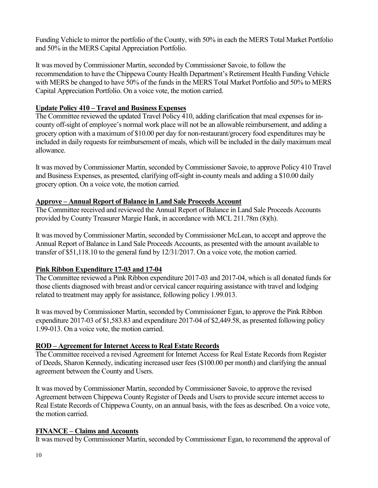Funding Vehicle to mirror the portfolio of the County, with 50% in each the MERS Total Market Portfolio and 50% in the MERS Capital Appreciation Portfolio.

It was moved by Commissioner Martin, seconded by Commissioner Savoie, to follow the recommendation to have the Chippewa County Health Department's Retirement Health Funding Vehicle with MERS be changed to have 50% of the funds in the MERS Total Market Portfolio and 50% to MERS Capital Appreciation Portfolio. On a voice vote, the motion carried.

## **Update Policy 410 – Travel and Business Expenses**

The Committee reviewed the updated Travel Policy 410, adding clarification that meal expenses for incounty off-sight of employee's normal work place will not be an allowable reimbursement, and adding a grocery option with a maximum of \$10.00 per day for non-restaurant/grocery food expenditures may be included in daily requests for reimbursement of meals, which will be included in the daily maximum meal allowance.

It was moved by Commissioner Martin, seconded by Commissioner Savoie, to approve Policy 410 Travel and Business Expenses, as presented, clarifying off-sight in-county meals and adding a \$10.00 daily grocery option. On a voice vote, the motion carried.

## **Approve – Annual Report of Balance in Land Sale Proceeds Account**

The Committee received and reviewed the Annual Report of Balance in Land Sale Proceeds Accounts provided by County Treasurer Margie Hank, in accordance with MCL 211.78m (8)(h).

It was moved by Commissioner Martin, seconded by Commissioner McLean, to accept and approve the Annual Report of Balance in Land Sale Proceeds Accounts, as presented with the amount available to transfer of \$51,118.10 to the general fund by 12/31/2017. On a voice vote, the motion carried.

## **Pink Ribbon Expenditure 17-03 and 17-04**

The Committee reviewed a Pink Ribbon expenditure 2017-03 and 2017-04, which is all donated funds for those clients diagnosed with breast and/or cervical cancer requiring assistance with travel and lodging related to treatment may apply for assistance, following policy 1.99.013.

It was moved by Commissioner Martin, seconded by Commissioner Egan, to approve the Pink Ribbon expenditure 2017-03 of \$1,583.83 and expenditure 2017-04 of \$2,449.58, as presented following policy 1.99-013. On a voice vote, the motion carried.

## **ROD – Agreement for Internet Access to Real Estate Records**

The Committee received a revised Agreement for Internet Access for Real Estate Records from Register of Deeds, Sharon Kennedy, indicating increased user fees (\$100.00 per month) and clarifying the annual agreement between the County and Users.

It was moved by Commissioner Martin, seconded by Commissioner Savoie, to approve the revised Agreement between Chippewa County Register of Deeds and Users to provide secure internet access to Real Estate Records of Chippewa County, on an annual basis, with the fees as described. On a voice vote, the motion carried.

## **FINANCE – Claims and Accounts**

It was moved by Commissioner Martin, seconded by Commissioner Egan, to recommend the approval of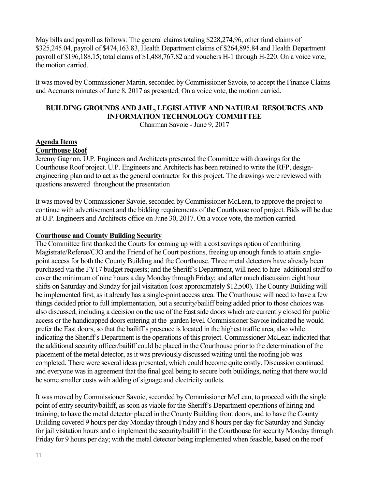May bills and payroll as follows: The general claims totaling \$228,274,96, other fund claims of \$325,245.04, payroll of \$474,163.83, Health Department claims of \$264,895.84 and Health Department payroll of \$196,188.15; total clams of \$1,488,767.82 and vouchers H-1 through H-220. On a voice vote, the motion carried.

It was moved by Commissioner Martin, seconded by Commissioner Savoie, to accept the Finance Claims and Accounts minutes of June 8, 2017 as presented. On a voice vote, the motion carried.

## **BUILDING GROUNDS AND JAIL, LEGISLATIVE AND NATURAL RESOURCES AND INFORMATION TECHNOLOGY COMMITTEE**

Chairman Savoie - June 9, 2017

## **Agenda Items**

## **Courthouse Roof**

Jeremy Gagnon, U.P. Engineers and Architects presented the Committee with drawings for the Courthouse Roof project. U.P. Engineers and Architects has been retained to write the RFP, designengineering plan and to act as the general contractor for this project. The drawings were reviewed with questions answered throughout the presentation

It was moved by Commissioner Savoie, seconded by Commissioner McLean, to approve the project to continue with advertisement and the bidding requirements of the Courthouse roof project. Bids will be due at U.P. Engineers and Architects office on June 30, 2017. On a voice vote, the motion carried.

## **Courthouse and County Building Security**

The Committee first thanked the Courts for coming up with a cost savings option of combining Magistrate/Referee/CJO and the Friend of he Court positions, freeing up enough funds to attain singlepoint access for both the County Building and the Courthouse. Three metal detectors have already been purchased via the FY17 budget requests; and the Sheriff's Department, will need to hire additional staff to cover the minimum of nine hours a day Monday through Friday; and after much discussion eight hour shifts on Saturday and Sunday for jail visitation (cost approximately \$12,500). The County Building will be implemented first, as it already has a single-point access area. The Courthouse will need to have a few things decided prior to full implementation, but a security/bailiff being added prior to those choices was also discussed, including a decision on the use of the East side doors which are currently closed for public access or the handicapped doors entering at the garden level. Commissioner Savoie indicated he would prefer the East doors, so that the bailiff's presence is located in the highest traffic area, also while indicating the Sheriff's Department is the operations of this project. Commissioner McLean indicated that the additional security officer/bailiff could be placed in the Courthouse prior to the determination of the placement of the metal detector, as it was previously discussed waiting until the roofing job was completed. There were several ideas presented, which could become quite costly. Discussion continued and everyone was in agreement that the final goal being to secure both buildings, noting that there would be some smaller costs with adding of signage and electricity outlets.

It was moved by Commissioner Savoie, seconded by Commissioner McLean, to proceed with the single point of entry security/bailiff, as soon as viable for the Sheriff's Department operations of hiring and training; to have the metal detector placed in the County Building front doors, and to have the County Building covered 9 hours per day Monday through Friday and 8 hours per day for Saturday and Sunday for jail visitation hours and o implement the security/bailiff in the Courthouse for security Monday through Friday for 9 hours per day; with the metal detector being implemented when feasible, based on the roof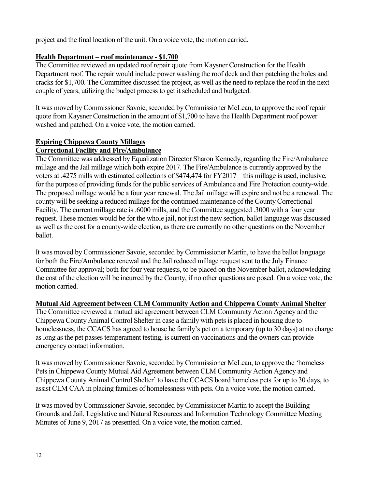project and the final location of the unit. On a voice vote, the motion carried.

## **Health Department – roof maintenance - \$1,700**

The Committee reviewed an updated roof repair quote from Kaysner Construction for the Health Department roof. The repair would include power washing the roof deck and then patching the holes and cracks for \$1,700. The Committee discussed the project, as well as the need to replace the roof in the next couple of years, utilizing the budget process to get it scheduled and budgeted.

It was moved by Commissioner Savoie, seconded by Commissioner McLean, to approve the roof repair quote from Kaysner Construction in the amount of \$1,700 to have the Health Department roof power washed and patched. On a voice vote, the motion carried.

# **Expiring Chippewa County Millages**

## **Correctional Facility and Fire/Ambulance**

The Committee was addressed by Equalization Director Sharon Kennedy, regarding the Fire/Ambulance millage and the Jail millage which both expire 2017. The Fire/Ambulance is currently approved by the voters at .4275 mills with estimated collections of \$474,474 for FY2017 – this millage is used, inclusive, for the purpose of providing funds for the public services of Ambulance and Fire Protection county-wide. The proposed millage would be a four year renewal. The Jail millage will expire and not be a renewal. The county will be seeking a reduced millage for the continued maintenance of the County Correctional Facility. The current millage rate is .6000 mills, and the Committee suggested .3000 with a four year request. These monies would be for the whole jail, not just the new section, ballot language was discussed as well as the cost for a county-wide election, as there are currently no other questions on the November ballot.

It was moved by Commissioner Savoie, seconded by Commissioner Martin, to have the ballot language for both the Fire/Ambulance renewal and the Jail reduced millage request sent to the July Finance Committee for approval; both for four year requests, to be placed on the November ballot, acknowledging the cost of the election will be incurred by the County, if no other questions are posed. On a voice vote, the motion carried.

## **Mutual Aid Agreement between CLM Community Action and Chippewa County Animal Shelter**

The Committee reviewed a mutual aid agreement between CLM Community Action Agency and the Chippewa County Animal Control Shelter in case a family with pets is placed in housing due to homelessness, the CCACS has agreed to house he family's pet on a temporary (up to 30 days) at no charge as long as the pet passes temperament testing, is current on vaccinations and the owners can provide emergency contact information.

It was moved by Commissioner Savoie, seconded by Commissioner McLean, to approve the 'homeless Pets in Chippewa County Mutual Aid Agreement between CLM Community Action Agency and Chippewa County Animal Control Shelter' to have the CCACS board homeless pets for up to 30 days, to assist CLM CAA in placing families of homelessness with pets. On a voice vote, the motion carried.

It was moved by Commissioner Savoie, seconded by Commissioner Martin to accept the Building Grounds and Jail, Legislative and Natural Resources and Information Technology Committee Meeting Minutes of June 9, 2017 as presented. On a voice vote, the motion carried.